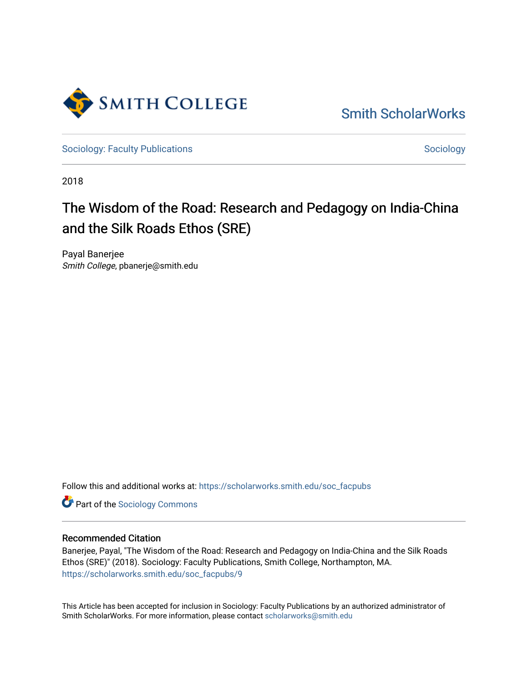

[Smith ScholarWorks](https://scholarworks.smith.edu/) 

[Sociology: Faculty Publications](https://scholarworks.smith.edu/soc_facpubs) [Sociology](https://scholarworks.smith.edu/soc) Sociology

2018

# The Wisdom of the Road: Research and Pedagogy on India-China and the Silk Roads Ethos (SRE)

Payal Banerjee Smith College, pbanerje@smith.edu

Follow this and additional works at: [https://scholarworks.smith.edu/soc\\_facpubs](https://scholarworks.smith.edu/soc_facpubs?utm_source=scholarworks.smith.edu%2Fsoc_facpubs%2F9&utm_medium=PDF&utm_campaign=PDFCoverPages) 

**Part of the [Sociology Commons](http://network.bepress.com/hgg/discipline/416?utm_source=scholarworks.smith.edu%2Fsoc_facpubs%2F9&utm_medium=PDF&utm_campaign=PDFCoverPages)** 

# Recommended Citation

Banerjee, Payal, "The Wisdom of the Road: Research and Pedagogy on India-China and the Silk Roads Ethos (SRE)" (2018). Sociology: Faculty Publications, Smith College, Northampton, MA. [https://scholarworks.smith.edu/soc\\_facpubs/9](https://scholarworks.smith.edu/soc_facpubs/9?utm_source=scholarworks.smith.edu%2Fsoc_facpubs%2F9&utm_medium=PDF&utm_campaign=PDFCoverPages)

This Article has been accepted for inclusion in Sociology: Faculty Publications by an authorized administrator of Smith ScholarWorks. For more information, please contact [scholarworks@smith.edu](mailto:scholarworks@smith.edu)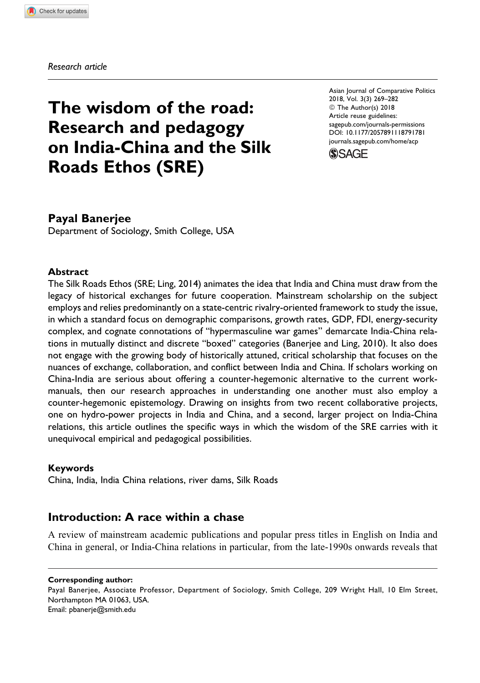Research article

# The wisdom of the road: Research and pedagogy on India-China and the Silk Roads Ethos (SRE)

Asian Journal of Comparative Politics 2018, Vol. 3(3) 269–282 ª The Author(s) 2018 Article reuse guidelines: [sagepub.com/journals-permissions](https://sagepub.com/journals-permissions) [DOI: 10.1177/2057891118791781](https://doi.org/10.1177/2057891118791781) [journals.sagepub.com/home/acp](http://journals.sagepub.com/home/acp)



# Payal Banerjee

Department of Sociology, Smith College, USA

#### Abstract

The Silk Roads Ethos (SRE; Ling, 2014) animates the idea that India and China must draw from the legacy of historical exchanges for future cooperation. Mainstream scholarship on the subject employs and relies predominantly on a state-centric rivalry-oriented framework to study the issue, in which a standard focus on demographic comparisons, growth rates, GDP, FDI, energy-security complex, and cognate connotations of "hypermasculine war games" demarcate India-China relations in mutually distinct and discrete "boxed" categories (Banerjee and Ling, 2010). It also does not engage with the growing body of historically attuned, critical scholarship that focuses on the nuances of exchange, collaboration, and conflict between India and China. If scholars working on China-India are serious about offering a counter-hegemonic alternative to the current workmanuals, then our research approaches in understanding one another must also employ a counter-hegemonic epistemology. Drawing on insights from two recent collaborative projects, one on hydro-power projects in India and China, and a second, larger project on India-China relations, this article outlines the specific ways in which the wisdom of the SRE carries with it unequivocal empirical and pedagogical possibilities.

#### Keywords

China, India, India China relations, river dams, Silk Roads

### Introduction: A race within a chase

A review of mainstream academic publications and popular press titles in English on India and China in general, or India-China relations in particular, from the late-1990s onwards reveals that

#### Corresponding author:

Payal Banerjee, Associate Professor, Department of Sociology, Smith College, 209 Wright Hall, 10 Elm Street, Northampton MA 01063, USA. Email: [pbanerje@smith.edu](mailto:pbanerje@smith.edu)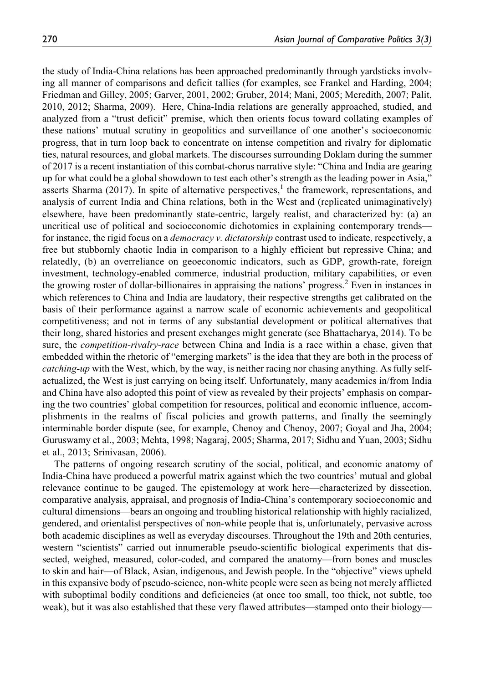the study of India-China relations has been approached predominantly through yardsticks involving all manner of comparisons and deficit tallies (for examples, see Frankel and Harding, 2004; Friedman and Gilley, 2005; Garver, 2001, 2002; Gruber, 2014; Mani, 2005; Meredith, 2007; Palit, 2010, 2012; Sharma, 2009). Here, China-India relations are generally approached, studied, and analyzed from a "trust deficit" premise, which then orients focus toward collating examples of these nations' mutual scrutiny in geopolitics and surveillance of one another's socioeconomic progress, that in turn loop back to concentrate on intense competition and rivalry for diplomatic ties, natural resources, and global markets. The discourses surrounding Doklam during the summer of 2017 is a recent instantiation of this combat-chorus narrative style: "China and India are gearing up for what could be a global showdown to test each other's strength as the leading power in Asia," asserts Sharma (2017). In spite of alternative perspectives,<sup>1</sup> the framework, representations, and analysis of current India and China relations, both in the West and (replicated unimaginatively) elsewhere, have been predominantly state-centric, largely realist, and characterized by: (a) an uncritical use of political and socioeconomic dichotomies in explaining contemporary trends for instance, the rigid focus on a *democracy v. dictatorship* contrast used to indicate, respectively, a free but stubbornly chaotic India in comparison to a highly efficient but repressive China; and relatedly, (b) an overreliance on geoeconomic indicators, such as GDP, growth-rate, foreign investment, technology-enabled commerce, industrial production, military capabilities, or even the growing roster of dollar-billionaires in appraising the nations' progress.<sup>2</sup> Even in instances in which references to China and India are laudatory, their respective strengths get calibrated on the basis of their performance against a narrow scale of economic achievements and geopolitical competitiveness; and not in terms of any substantial development or political alternatives that their long, shared histories and present exchanges might generate (see Bhattacharya, 2014). To be sure, the *competition-rivalry-race* between China and India is a race within a chase, given that embedded within the rhetoric of "emerging markets" is the idea that they are both in the process of catching-up with the West, which, by the way, is neither racing nor chasing anything. As fully selfactualized, the West is just carrying on being itself. Unfortunately, many academics in/from India and China have also adopted this point of view as revealed by their projects' emphasis on comparing the two countries' global competition for resources, political and economic influence, accomplishments in the realms of fiscal policies and growth patterns, and finally the seemingly interminable border dispute (see, for example, Chenoy and Chenoy, 2007; Goyal and Jha, 2004; Guruswamy et al., 2003; Mehta, 1998; Nagaraj, 2005; Sharma, 2017; Sidhu and Yuan, 2003; Sidhu et al., 2013; Srinivasan, 2006).

The patterns of ongoing research scrutiny of the social, political, and economic anatomy of India-China have produced a powerful matrix against which the two countries' mutual and global relevance continue to be gauged. The epistemology at work here—characterized by dissection, comparative analysis, appraisal, and prognosis of India-China's contemporary socioeconomic and cultural dimensions—bears an ongoing and troubling historical relationship with highly racialized, gendered, and orientalist perspectives of non-white people that is, unfortunately, pervasive across both academic disciplines as well as everyday discourses. Throughout the 19th and 20th centuries, western "scientists" carried out innumerable pseudo-scientific biological experiments that dissected, weighed, measured, color-coded, and compared the anatomy—from bones and muscles to skin and hair—of Black, Asian, indigenous, and Jewish people. In the "objective" views upheld in this expansive body of pseudo-science, non-white people were seen as being not merely afflicted with suboptimal bodily conditions and deficiencies (at once too small, too thick, not subtle, too weak), but it was also established that these very flawed attributes—stamped onto their biology—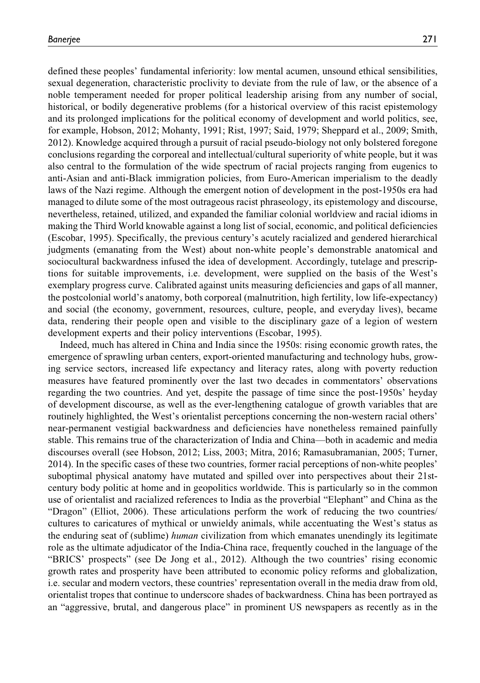defined these peoples' fundamental inferiority: low mental acumen, unsound ethical sensibilities, sexual degeneration, characteristic proclivity to deviate from the rule of law, or the absence of a noble temperament needed for proper political leadership arising from any number of social, historical, or bodily degenerative problems (for a historical overview of this racist epistemology and its prolonged implications for the political economy of development and world politics, see, for example, Hobson, 2012; Mohanty, 1991; Rist, 1997; Said, 1979; Sheppard et al., 2009; Smith, 2012). Knowledge acquired through a pursuit of racial pseudo-biology not only bolstered foregone conclusions regarding the corporeal and intellectual/cultural superiority of white people, but it was also central to the formulation of the wide spectrum of racial projects ranging from eugenics to anti-Asian and anti-Black immigration policies, from Euro-American imperialism to the deadly laws of the Nazi regime. Although the emergent notion of development in the post-1950s era had managed to dilute some of the most outrageous racist phraseology, its epistemology and discourse, nevertheless, retained, utilized, and expanded the familiar colonial worldview and racial idioms in making the Third World knowable against a long list of social, economic, and political deficiencies (Escobar, 1995). Specifically, the previous century's acutely racialized and gendered hierarchical judgments (emanating from the West) about non-white people's demonstrable anatomical and sociocultural backwardness infused the idea of development. Accordingly, tutelage and prescriptions for suitable improvements, i.e. development, were supplied on the basis of the West's exemplary progress curve. Calibrated against units measuring deficiencies and gaps of all manner, the postcolonial world's anatomy, both corporeal (malnutrition, high fertility, low life-expectancy) and social (the economy, government, resources, culture, people, and everyday lives), became data, rendering their people open and visible to the disciplinary gaze of a legion of western development experts and their policy interventions (Escobar, 1995).

Indeed, much has altered in China and India since the 1950s: rising economic growth rates, the emergence of sprawling urban centers, export-oriented manufacturing and technology hubs, growing service sectors, increased life expectancy and literacy rates, along with poverty reduction measures have featured prominently over the last two decades in commentators' observations regarding the two countries. And yet, despite the passage of time since the post-1950s' heyday of development discourse, as well as the ever-lengthening catalogue of growth variables that are routinely highlighted, the West's orientalist perceptions concerning the non-western racial others' near-permanent vestigial backwardness and deficiencies have nonetheless remained painfully stable. This remains true of the characterization of India and China—both in academic and media discourses overall (see Hobson, 2012; Liss, 2003; Mitra, 2016; Ramasubramanian, 2005; Turner, 2014). In the specific cases of these two countries, former racial perceptions of non-white peoples' suboptimal physical anatomy have mutated and spilled over into perspectives about their 21stcentury body politic at home and in geopolitics worldwide. This is particularly so in the common use of orientalist and racialized references to India as the proverbial "Elephant" and China as the "Dragon" (Elliot, 2006). These articulations perform the work of reducing the two countries/ cultures to caricatures of mythical or unwieldy animals, while accentuating the West's status as the enduring seat of (sublime) *human* civilization from which emanates unendingly its legitimate role as the ultimate adjudicator of the India-China race, frequently couched in the language of the "BRICS' prospects" (see De Jong et al., 2012). Although the two countries' rising economic growth rates and prosperity have been attributed to economic policy reforms and globalization, i.e. secular and modern vectors, these countries' representation overall in the media draw from old, orientalist tropes that continue to underscore shades of backwardness. China has been portrayed as an "aggressive, brutal, and dangerous place" in prominent US newspapers as recently as in the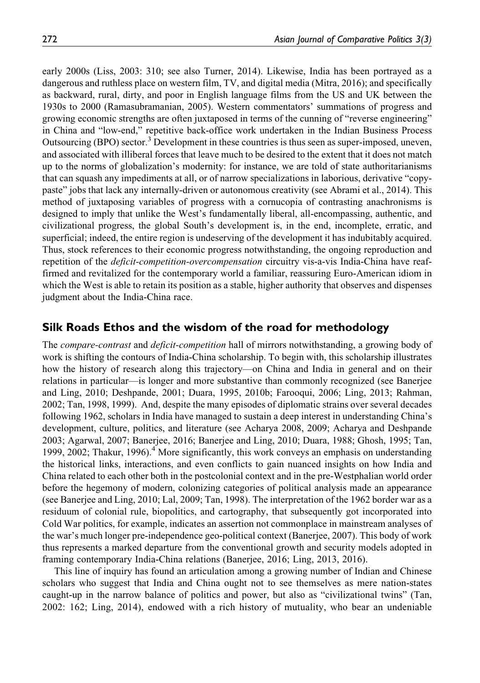early 2000s (Liss, 2003: 310; see also Turner, 2014). Likewise, India has been portrayed as a dangerous and ruthless place on western film, TV, and digital media (Mitra, 2016); and specifically as backward, rural, dirty, and poor in English language films from the US and UK between the 1930s to 2000 (Ramasubramanian, 2005). Western commentators' summations of progress and growing economic strengths are often juxtaposed in terms of the cunning of "reverse engineering" in China and "low-end," repetitive back-office work undertaken in the Indian Business Process Outsourcing (BPO) sector.<sup>3</sup> Development in these countries is thus seen as super-imposed, uneven, and associated with illiberal forces that leave much to be desired to the extent that it does not match up to the norms of globalization's modernity: for instance, we are told of state authoritarianisms that can squash any impediments at all, or of narrow specializations in laborious, derivative "copypaste" jobs that lack any internally-driven or autonomous creativity (see Abrami et al., 2014). This method of juxtaposing variables of progress with a cornucopia of contrasting anachronisms is designed to imply that unlike the West's fundamentally liberal, all-encompassing, authentic, and civilizational progress, the global South's development is, in the end, incomplete, erratic, and superficial; indeed, the entire region is undeserving of the development it has indubitably acquired. Thus, stock references to their economic progress notwithstanding, the ongoing reproduction and repetition of the *deficit-competition-overcompensation* circuitry vis-a-vis India-China have reaffirmed and revitalized for the contemporary world a familiar, reassuring Euro-American idiom in which the West is able to retain its position as a stable, higher authority that observes and dispenses judgment about the India-China race.

#### Silk Roads Ethos and the wisdom of the road for methodology

The *compare-contrast* and *deficit-competition* hall of mirrors notwithstanding, a growing body of work is shifting the contours of India-China scholarship. To begin with, this scholarship illustrates how the history of research along this trajectory—on China and India in general and on their relations in particular—is longer and more substantive than commonly recognized (see Banerjee and Ling, 2010; Deshpande, 2001; Duara, 1995, 2010b; Farooqui, 2006; Ling, 2013; Rahman, 2002; Tan, 1998, 1999). And, despite the many episodes of diplomatic strains over several decades following 1962, scholars in India have managed to sustain a deep interest in understanding China's development, culture, politics, and literature (see Acharya 2008, 2009; Acharya and Deshpande 2003; Agarwal, 2007; Banerjee, 2016; Banerjee and Ling, 2010; Duara, 1988; Ghosh, 1995; Tan, 1999, 2002; Thakur, 1996).<sup>4</sup> More significantly, this work conveys an emphasis on understanding the historical links, interactions, and even conflicts to gain nuanced insights on how India and China related to each other both in the postcolonial context and in the pre-Westphalian world order before the hegemony of modern, colonizing categories of political analysis made an appearance (see Banerjee and Ling, 2010; Lal, 2009; Tan, 1998). The interpretation of the 1962 border war as a residuum of colonial rule, biopolitics, and cartography, that subsequently got incorporated into Cold War politics, for example, indicates an assertion not commonplace in mainstream analyses of the war's much longer pre-independence geo-political context (Banerjee, 2007). This body of work thus represents a marked departure from the conventional growth and security models adopted in framing contemporary India-China relations (Banerjee, 2016; Ling, 2013, 2016).

This line of inquiry has found an articulation among a growing number of Indian and Chinese scholars who suggest that India and China ought not to see themselves as mere nation-states caught-up in the narrow balance of politics and power, but also as "civilizational twins" (Tan, 2002: 162; Ling, 2014), endowed with a rich history of mutuality, who bear an undeniable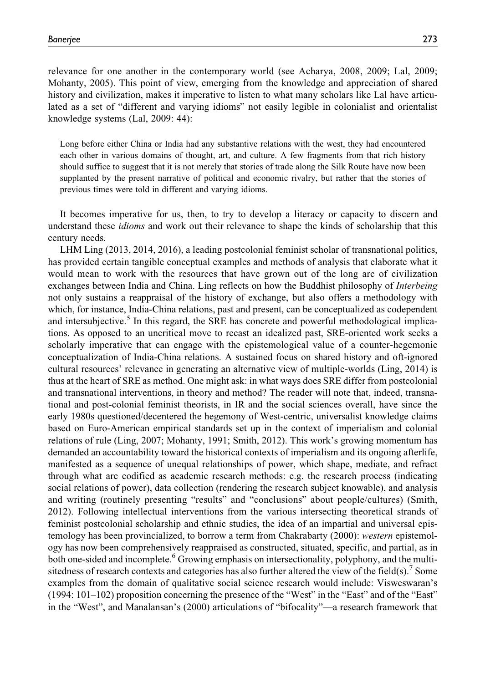Banerjee 273

relevance for one another in the contemporary world (see Acharya, 2008, 2009; Lal, 2009; Mohanty, 2005). This point of view, emerging from the knowledge and appreciation of shared history and civilization, makes it imperative to listen to what many scholars like Lal have articulated as a set of "different and varying idioms" not easily legible in colonialist and orientalist knowledge systems (Lal, 2009: 44):

Long before either China or India had any substantive relations with the west, they had encountered each other in various domains of thought, art, and culture. A few fragments from that rich history should suffice to suggest that it is not merely that stories of trade along the Silk Route have now been supplanted by the present narrative of political and economic rivalry, but rather that the stories of previous times were told in different and varying idioms.

It becomes imperative for us, then, to try to develop a literacy or capacity to discern and understand these *idioms* and work out their relevance to shape the kinds of scholarship that this century needs.

LHM Ling (2013, 2014, 2016), a leading postcolonial feminist scholar of transnational politics, has provided certain tangible conceptual examples and methods of analysis that elaborate what it would mean to work with the resources that have grown out of the long arc of civilization exchanges between India and China. Ling reflects on how the Buddhist philosophy of *Interbeing* not only sustains a reappraisal of the history of exchange, but also offers a methodology with which, for instance, India-China relations, past and present, can be conceptualized as codependent and intersubjective.<sup>5</sup> In this regard, the SRE has concrete and powerful methodological implications. As opposed to an uncritical move to recast an idealized past, SRE-oriented work seeks a scholarly imperative that can engage with the epistemological value of a counter-hegemonic conceptualization of India-China relations. A sustained focus on shared history and oft-ignored cultural resources' relevance in generating an alternative view of multiple-worlds (Ling, 2014) is thus at the heart of SRE as method. One might ask: in what ways does SRE differ from postcolonial and transnational interventions, in theory and method? The reader will note that, indeed, transnational and post-colonial feminist theorists, in IR and the social sciences overall, have since the early 1980s questioned/decentered the hegemony of West-centric, universalist knowledge claims based on Euro-American empirical standards set up in the context of imperialism and colonial relations of rule (Ling, 2007; Mohanty, 1991; Smith, 2012). This work's growing momentum has demanded an accountability toward the historical contexts of imperialism and its ongoing afterlife, manifested as a sequence of unequal relationships of power, which shape, mediate, and refract through what are codified as academic research methods: e.g. the research process (indicating social relations of power), data collection (rendering the research subject knowable), and analysis and writing (routinely presenting "results" and "conclusions" about people/cultures) (Smith, 2012). Following intellectual interventions from the various intersecting theoretical strands of feminist postcolonial scholarship and ethnic studies, the idea of an impartial and universal epistemology has been provincialized, to borrow a term from Chakrabarty (2000): western epistemology has now been comprehensively reappraised as constructed, situated, specific, and partial, as in both one-sided and incomplete.<sup>6</sup> Growing emphasis on intersectionality, polyphony, and the multisitedness of research contexts and categories has also further altered the view of the field(s). Some examples from the domain of qualitative social science research would include: Visweswaran's (1994: 101–102) proposition concerning the presence of the "West" in the "East" and of the "East" in the "West", and Manalansan's (2000) articulations of "bifocality"—a research framework that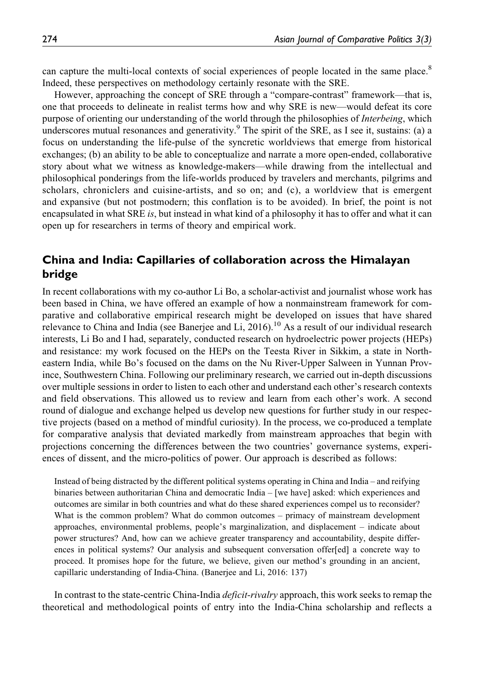can capture the multi-local contexts of social experiences of people located in the same place.<sup>8</sup> Indeed, these perspectives on methodology certainly resonate with the SRE.

However, approaching the concept of SRE through a "compare-contrast" framework—that is, one that proceeds to delineate in realist terms how and why SRE is new—would defeat its core purpose of orienting our understanding of the world through the philosophies of Interbeing, which underscores mutual resonances and generativity.<sup>9</sup> The spirit of the SRE, as I see it, sustains: (a) a focus on understanding the life-pulse of the syncretic worldviews that emerge from historical exchanges; (b) an ability to be able to conceptualize and narrate a more open-ended, collaborative story about what we witness as knowledge-makers—while drawing from the intellectual and philosophical ponderings from the life-worlds produced by travelers and merchants, pilgrims and scholars, chroniclers and cuisine-artists, and so on; and (c), a worldview that is emergent and expansive (but not postmodern; this conflation is to be avoided). In brief, the point is not encapsulated in what SRE is, but instead in what kind of a philosophy it has to offer and what it can open up for researchers in terms of theory and empirical work.

# China and India: Capillaries of collaboration across the Himalayan bridge

In recent collaborations with my co-author Li Bo, a scholar-activist and journalist whose work has been based in China, we have offered an example of how a nonmainstream framework for comparative and collaborative empirical research might be developed on issues that have shared relevance to China and India (see Banerjee and Li,  $2016$ ).<sup>10</sup> As a result of our individual research interests, Li Bo and I had, separately, conducted research on hydroelectric power projects (HEPs) and resistance: my work focused on the HEPs on the Teesta River in Sikkim, a state in Northeastern India, while Bo's focused on the dams on the Nu River-Upper Salween in Yunnan Province, Southwestern China. Following our preliminary research, we carried out in-depth discussions over multiple sessions in order to listen to each other and understand each other's research contexts and field observations. This allowed us to review and learn from each other's work. A second round of dialogue and exchange helped us develop new questions for further study in our respective projects (based on a method of mindful curiosity). In the process, we co-produced a template for comparative analysis that deviated markedly from mainstream approaches that begin with projections concerning the differences between the two countries' governance systems, experiences of dissent, and the micro-politics of power. Our approach is described as follows:

Instead of being distracted by the different political systems operating in China and India – and reifying binaries between authoritarian China and democratic India – [we have] asked: which experiences and outcomes are similar in both countries and what do these shared experiences compel us to reconsider? What is the common problem? What do common outcomes – primacy of mainstream development approaches, environmental problems, people's marginalization, and displacement – indicate about power structures? And, how can we achieve greater transparency and accountability, despite differences in political systems? Our analysis and subsequent conversation offer[ed] a concrete way to proceed. It promises hope for the future, we believe, given our method's grounding in an ancient, capillaric understanding of India-China. (Banerjee and Li, 2016: 137)

In contrast to the state-centric China-India *deficit-rivalry* approach, this work seeks to remap the theoretical and methodological points of entry into the India-China scholarship and reflects a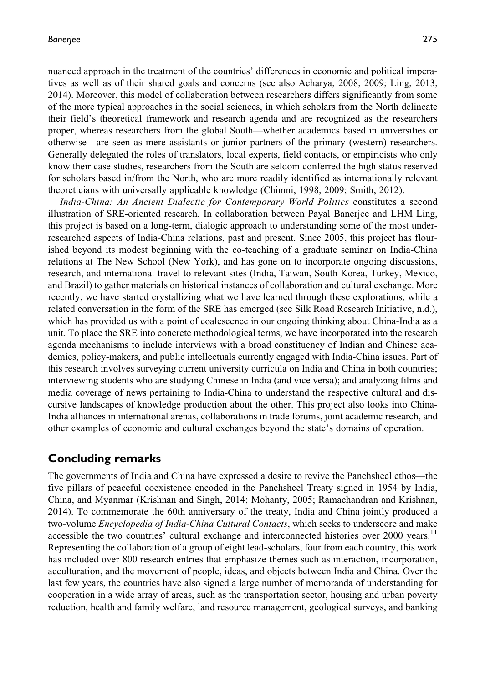nuanced approach in the treatment of the countries' differences in economic and political imperatives as well as of their shared goals and concerns (see also Acharya, 2008, 2009; Ling, 2013, 2014). Moreover, this model of collaboration between researchers differs significantly from some of the more typical approaches in the social sciences, in which scholars from the North delineate their field's theoretical framework and research agenda and are recognized as the researchers proper, whereas researchers from the global South—whether academics based in universities or otherwise—are seen as mere assistants or junior partners of the primary (western) researchers. Generally delegated the roles of translators, local experts, field contacts, or empiricists who only know their case studies, researchers from the South are seldom conferred the high status reserved for scholars based in/from the North, who are more readily identified as internationally relevant theoreticians with universally applicable knowledge (Chimni, 1998, 2009; Smith, 2012).

India-China: An Ancient Dialectic for Contemporary World Politics constitutes a second illustration of SRE-oriented research. In collaboration between Payal Banerjee and LHM Ling, this project is based on a long-term, dialogic approach to understanding some of the most underresearched aspects of India-China relations, past and present. Since 2005, this project has flourished beyond its modest beginning with the co-teaching of a graduate seminar on India-China relations at The New School (New York), and has gone on to incorporate ongoing discussions, research, and international travel to relevant sites (India, Taiwan, South Korea, Turkey, Mexico, and Brazil) to gather materials on historical instances of collaboration and cultural exchange. More recently, we have started crystallizing what we have learned through these explorations, while a related conversation in the form of the SRE has emerged (see Silk Road Research Initiative, n.d.), which has provided us with a point of coalescence in our ongoing thinking about China-India as a unit. To place the SRE into concrete methodological terms, we have incorporated into the research agenda mechanisms to include interviews with a broad constituency of Indian and Chinese academics, policy-makers, and public intellectuals currently engaged with India-China issues. Part of this research involves surveying current university curricula on India and China in both countries; interviewing students who are studying Chinese in India (and vice versa); and analyzing films and media coverage of news pertaining to India-China to understand the respective cultural and discursive landscapes of knowledge production about the other. This project also looks into China-India alliances in international arenas, collaborations in trade forums, joint academic research, and other examples of economic and cultural exchanges beyond the state's domains of operation.

### Concluding remarks

The governments of India and China have expressed a desire to revive the Panchsheel ethos—the five pillars of peaceful coexistence encoded in the Panchsheel Treaty signed in 1954 by India, China, and Myanmar (Krishnan and Singh, 2014; Mohanty, 2005; Ramachandran and Krishnan, 2014). To commemorate the 60th anniversary of the treaty, India and China jointly produced a two-volume *Encyclopedia of India-China Cultural Contacts*, which seeks to underscore and make accessible the two countries' cultural exchange and interconnected histories over 2000 years.<sup>11</sup> Representing the collaboration of a group of eight lead-scholars, four from each country, this work has included over 800 research entries that emphasize themes such as interaction, incorporation, acculturation, and the movement of people, ideas, and objects between India and China. Over the last few years, the countries have also signed a large number of memoranda of understanding for cooperation in a wide array of areas, such as the transportation sector, housing and urban poverty reduction, health and family welfare, land resource management, geological surveys, and banking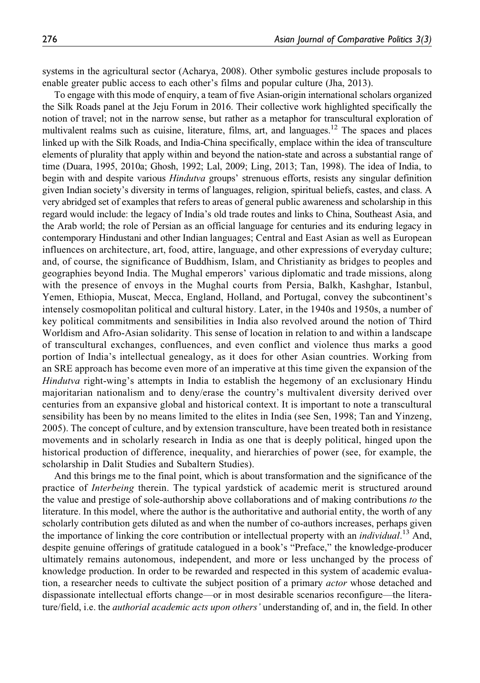systems in the agricultural sector (Acharya, 2008). Other symbolic gestures include proposals to enable greater public access to each other's films and popular culture (Jha, 2013).

To engage with this mode of enquiry, a team of five Asian-origin international scholars organized the Silk Roads panel at the Jeju Forum in 2016. Their collective work highlighted specifically the notion of travel; not in the narrow sense, but rather as a metaphor for transcultural exploration of multivalent realms such as cuisine, literature, films, art, and languages.<sup>12</sup> The spaces and places linked up with the Silk Roads, and India-China specifically, emplace within the idea of transculture elements of plurality that apply within and beyond the nation-state and across a substantial range of time (Duara, 1995, 2010a; Ghosh, 1992; Lal, 2009; Ling, 2013; Tan, 1998). The idea of India, to begin with and despite various *Hindutva* groups' strenuous efforts, resists any singular definition given Indian society's diversity in terms of languages, religion, spiritual beliefs, castes, and class. A very abridged set of examples that refers to areas of general public awareness and scholarship in this regard would include: the legacy of India's old trade routes and links to China, Southeast Asia, and the Arab world; the role of Persian as an official language for centuries and its enduring legacy in contemporary Hindustani and other Indian languages; Central and East Asian as well as European influences on architecture, art, food, attire, language, and other expressions of everyday culture; and, of course, the significance of Buddhism, Islam, and Christianity as bridges to peoples and geographies beyond India. The Mughal emperors' various diplomatic and trade missions, along with the presence of envoys in the Mughal courts from Persia, Balkh, Kashghar, Istanbul, Yemen, Ethiopia, Muscat, Mecca, England, Holland, and Portugal, convey the subcontinent's intensely cosmopolitan political and cultural history. Later, in the 1940s and 1950s, a number of key political commitments and sensibilities in India also revolved around the notion of Third Worldism and Afro-Asian solidarity. This sense of location in relation to and within a landscape of transcultural exchanges, confluences, and even conflict and violence thus marks a good portion of India's intellectual genealogy, as it does for other Asian countries. Working from an SRE approach has become even more of an imperative at this time given the expansion of the Hindutva right-wing's attempts in India to establish the hegemony of an exclusionary Hindu majoritarian nationalism and to deny/erase the country's multivalent diversity derived over centuries from an expansive global and historical context. It is important to note a transcultural sensibility has been by no means limited to the elites in India (see Sen, 1998; Tan and Yinzeng, 2005). The concept of culture, and by extension transculture, have been treated both in resistance movements and in scholarly research in India as one that is deeply political, hinged upon the historical production of difference, inequality, and hierarchies of power (see, for example, the scholarship in Dalit Studies and Subaltern Studies).

And this brings me to the final point, which is about transformation and the significance of the practice of Interbeing therein. The typical yardstick of academic merit is structured around the value and prestige of sole-authorship above collaborations and of making contributions to the literature. In this model, where the author is the authoritative and authorial entity, the worth of any scholarly contribution gets diluted as and when the number of co-authors increases, perhaps given the importance of linking the core contribution or intellectual property with an *individual*.<sup>13</sup> And, despite genuine offerings of gratitude catalogued in a book's "Preface," the knowledge-producer ultimately remains autonomous, independent, and more or less unchanged by the process of knowledge production. In order to be rewarded and respected in this system of academic evaluation, a researcher needs to cultivate the subject position of a primary *actor* whose detached and dispassionate intellectual efforts change—or in most desirable scenarios reconfigure—the literature/field, i.e. the *authorial academic acts upon others'* understanding of, and in, the field. In other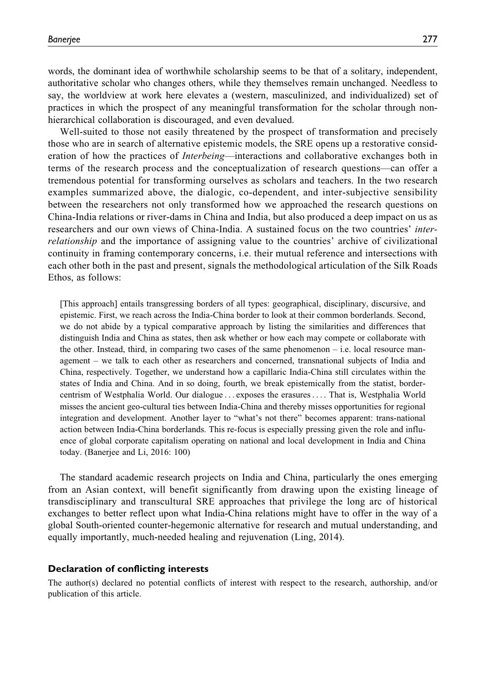words, the dominant idea of worthwhile scholarship seems to be that of a solitary, independent, authoritative scholar who changes others, while they themselves remain unchanged. Needless to say, the worldview at work here elevates a (western, masculinized, and individualized) set of practices in which the prospect of any meaningful transformation for the scholar through nonhierarchical collaboration is discouraged, and even devalued.

Well-suited to those not easily threatened by the prospect of transformation and precisely those who are in search of alternative epistemic models, the SRE opens up a restorative consideration of how the practices of *Interbeing*—interactions and collaborative exchanges both in terms of the research process and the conceptualization of research questions—can offer a tremendous potential for transforming ourselves as scholars and teachers. In the two research examples summarized above, the dialogic, co-dependent, and inter-subjective sensibility between the researchers not only transformed how we approached the research questions on China-India relations or river-dams in China and India, but also produced a deep impact on us as researchers and our own views of China-India. A sustained focus on the two countries' interrelationship and the importance of assigning value to the countries' archive of civilizational continuity in framing contemporary concerns, i.e. their mutual reference and intersections with each other both in the past and present, signals the methodological articulation of the Silk Roads Ethos, as follows:

[This approach] entails transgressing borders of all types: geographical, disciplinary, discursive, and epistemic. First, we reach across the India-China border to look at their common borderlands. Second, we do not abide by a typical comparative approach by listing the similarities and differences that distinguish India and China as states, then ask whether or how each may compete or collaborate with the other. Instead, third, in comparing two cases of the same phenomenon  $-$  i.e. local resource management – we talk to each other as researchers and concerned, transnational subjects of India and China, respectively. Together, we understand how a capillaric India-China still circulates within the states of India and China. And in so doing, fourth, we break epistemically from the statist, bordercentrism of Westphalia World. Our dialogue ... exposes the erasures... . That is, Westphalia World misses the ancient geo-cultural ties between India-China and thereby misses opportunities for regional integration and development. Another layer to "what's not there" becomes apparent: trans-national action between India-China borderlands. This re-focus is especially pressing given the role and influence of global corporate capitalism operating on national and local development in India and China today. (Banerjee and Li, 2016: 100)

The standard academic research projects on India and China, particularly the ones emerging from an Asian context, will benefit significantly from drawing upon the existing lineage of transdisciplinary and transcultural SRE approaches that privilege the long arc of historical exchanges to better reflect upon what India-China relations might have to offer in the way of a global South-oriented counter-hegemonic alternative for research and mutual understanding, and equally importantly, much-needed healing and rejuvenation (Ling, 2014).

#### Declaration of conflicting interests

The author(s) declared no potential conflicts of interest with respect to the research, authorship, and/or publication of this article.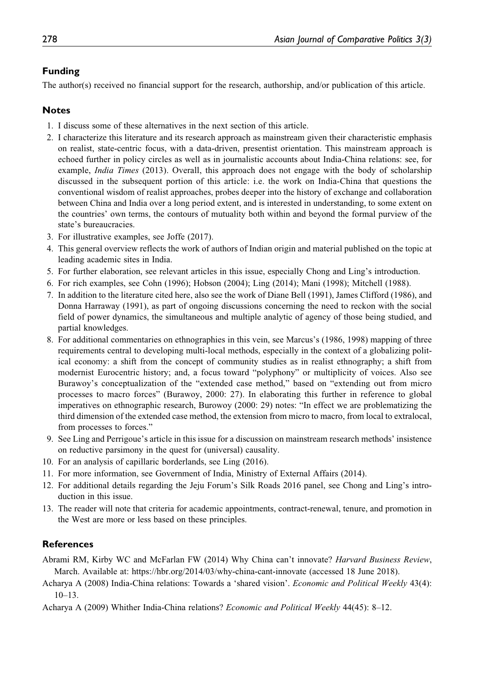#### Funding

The author(s) received no financial support for the research, authorship, and/or publication of this article.

#### Notes

- 1. I discuss some of these alternatives in the next section of this article.
- 2. I characterize this literature and its research approach as mainstream given their characteristic emphasis on realist, state-centric focus, with a data-driven, presentist orientation. This mainstream approach is echoed further in policy circles as well as in journalistic accounts about India-China relations: see, for example, *India Times* (2013). Overall, this approach does not engage with the body of scholarship discussed in the subsequent portion of this article: i.e. the work on India-China that questions the conventional wisdom of realist approaches, probes deeper into the history of exchange and collaboration between China and India over a long period extent, and is interested in understanding, to some extent on the countries' own terms, the contours of mutuality both within and beyond the formal purview of the state's bureaucracies.
- 3. For illustrative examples, see Joffe (2017).
- 4. This general overview reflects the work of authors of Indian origin and material published on the topic at leading academic sites in India.
- 5. For further elaboration, see relevant articles in this issue, especially Chong and Ling's introduction.
- 6. For rich examples, see Cohn (1996); Hobson (2004); Ling (2014); Mani (1998); Mitchell (1988).
- 7. In addition to the literature cited here, also see the work of Diane Bell (1991), James Clifford (1986), and Donna Harraway (1991), as part of ongoing discussions concerning the need to reckon with the social field of power dynamics, the simultaneous and multiple analytic of agency of those being studied, and partial knowledges.
- 8. For additional commentaries on ethnographies in this vein, see Marcus's (1986, 1998) mapping of three requirements central to developing multi-local methods, especially in the context of a globalizing political economy: a shift from the concept of community studies as in realist ethnography; a shift from modernist Eurocentric history; and, a focus toward "polyphony" or multiplicity of voices. Also see Burawoy's conceptualization of the "extended case method," based on "extending out from micro processes to macro forces" (Burawoy, 2000: 27). In elaborating this further in reference to global imperatives on ethnographic research, Burowoy (2000: 29) notes: "In effect we are problematizing the third dimension of the extended case method, the extension from micro to macro, from local to extralocal, from processes to forces."
- 9. See Ling and Perrigoue's article in this issue for a discussion on mainstream research methods' insistence on reductive parsimony in the quest for (universal) causality.
- 10. For an analysis of capillaric borderlands, see Ling (2016).
- 11. For more information, see Government of India, Ministry of External Affairs (2014).
- 12. For additional details regarding the Jeju Forum's Silk Roads 2016 panel, see Chong and Ling's introduction in this issue.
- 13. The reader will note that criteria for academic appointments, contract-renewal, tenure, and promotion in the West are more or less based on these principles.

#### References

Abrami RM, Kirby WC and McFarlan FW (2014) Why China can't innovate? Harvard Business Review, March. Available at:<https://hbr.org/2014/03/why-china-cant-innovate> (accessed 18 June 2018).

- Acharya A (2008) India-China relations: Towards a 'shared vision'. Economic and Political Weekly 43(4): 10–13.
- Acharya A (2009) Whither India-China relations? Economic and Political Weekly 44(45): 8–12.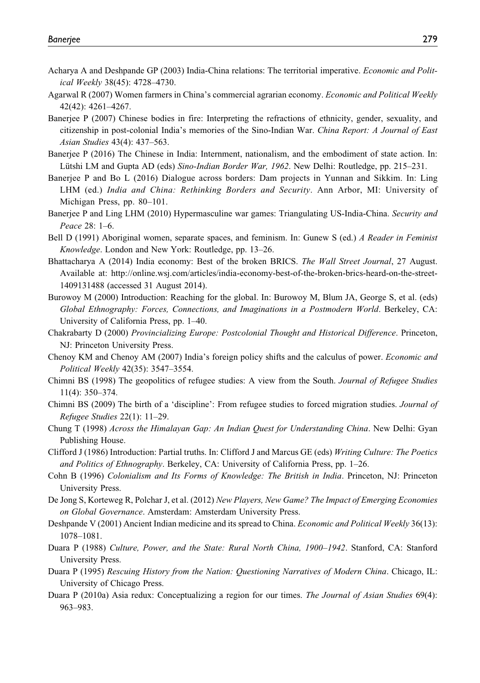- Acharya A and Deshpande GP (2003) India-China relations: The territorial imperative. Economic and Political Weekly 38(45): 4728–4730.
- Agarwal R (2007) Women farmers in China's commercial agrarian economy. Economic and Political Weekly 42(42): 4261–4267.
- Banerjee P (2007) Chinese bodies in fire: Interpreting the refractions of ethnicity, gender, sexuality, and citizenship in post-colonial India's memories of the Sino-Indian War. China Report: A Journal of East Asian Studies 43(4): 437–563.
- Baneriee P (2016) The Chinese in India: Internment, nationalism, and the embodiment of state action. In: Lütshi LM and Gupta AD (eds) Sino-Indian Border War, 1962. New Delhi: Routledge, pp. 215–231.
- Banerjee P and Bo L (2016) Dialogue across borders: Dam projects in Yunnan and Sikkim. In: Ling LHM (ed.) India and China: Rethinking Borders and Security. Ann Arbor, MI: University of Michigan Press, pp. 80–101.
- Banerjee P and Ling LHM (2010) Hypermasculine war games: Triangulating US-India-China. Security and Peace 28: 1–6.
- Bell D (1991) Aboriginal women, separate spaces, and feminism. In: Gunew S (ed.) A Reader in Feminist Knowledge. London and New York: Routledge, pp. 13–26.
- Bhattacharya A (2014) India economy: Best of the broken BRICS. The Wall Street Journal, 27 August. Available at: [http://online.wsj.com/articles/india-economy-best-of-the-broken-brics-heard-on-the-street-](http://online.wsj.com/articles/india-economy-best-of-the-broken-brics-heard-on-the-street-1409131488)[1409131488](http://online.wsj.com/articles/india-economy-best-of-the-broken-brics-heard-on-the-street-1409131488) (accessed 31 August 2014).
- Burowoy M (2000) Introduction: Reaching for the global. In: Burowoy M, Blum JA, George S, et al. (eds) Global Ethnography: Forces, Connections, and Imaginations in a Postmodern World. Berkeley, CA: University of California Press, pp. 1–40.
- Chakrabarty D (2000) Provincializing Europe: Postcolonial Thought and Historical Difference. Princeton, NJ: Princeton University Press.
- Chenoy KM and Chenoy AM (2007) India's foreign policy shifts and the calculus of power. Economic and Political Weekly 42(35): 3547–3554.
- Chimni BS (1998) The geopolitics of refugee studies: A view from the South. Journal of Refugee Studies 11(4): 350–374.
- Chimni BS (2009) The birth of a 'discipline': From refugee studies to forced migration studies. Journal of Refugee Studies 22(1): 11–29.
- Chung T (1998) Across the Himalayan Gap: An Indian Quest for Understanding China. New Delhi: Gyan Publishing House.
- Clifford J (1986) Introduction: Partial truths. In: Clifford J and Marcus GE (eds) Writing Culture: The Poetics and Politics of Ethnography. Berkeley, CA: University of California Press, pp. 1–26.
- Cohn B (1996) Colonialism and Its Forms of Knowledge: The British in India. Princeton, NJ: Princeton University Press.
- De Jong S, Korteweg R, Polchar J, et al. (2012) New Players, New Game? The Impact of Emerging Economies on Global Governance. Amsterdam: Amsterdam University Press.
- Deshpande V (2001) Ancient Indian medicine and its spread to China. Economic and Political Weekly 36(13): 1078–1081.
- Duara P (1988) Culture, Power, and the State: Rural North China, 1900–1942. Stanford, CA: Stanford University Press.
- Duara P (1995) Rescuing History from the Nation: Questioning Narratives of Modern China. Chicago, IL: University of Chicago Press.
- Duara P (2010a) Asia redux: Conceptualizing a region for our times. The Journal of Asian Studies 69(4): 963–983.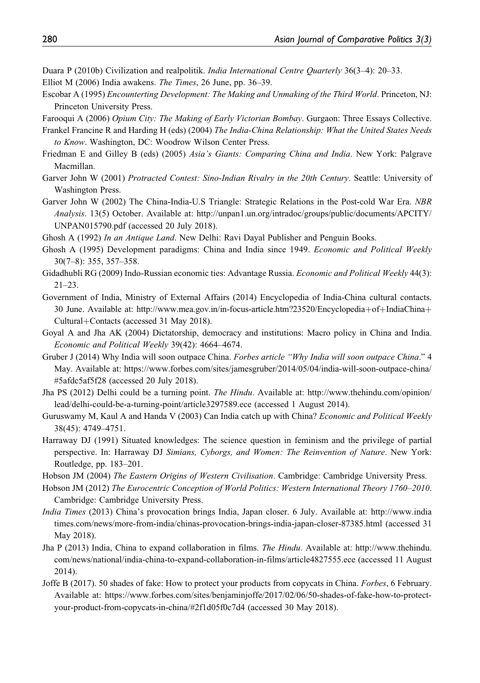- Duara P (2010b) Civilization and realpolitik. India International Centre Quarterly 36(3–4): 20–33.
- Elliot M (2006) India awakens. The Times, 26 June, pp. 36–39.
- Escobar A (1995) Encounterting Development: The Making and Unmaking of the Third World. Princeton, NJ: Princeton University Press.

Farooqui A (2006) Opium City: The Making of Early Victorian Bombay. Gurgaon: Three Essays Collective.

- Frankel Francine R and Harding H (eds) (2004) The India-China Relationship: What the United States Needs to Know. Washington, DC: Woodrow Wilson Center Press.
- Friedman E and Gilley B (eds) (2005) Asia's Giants: Comparing China and India. New York: Palgrave Macmillan.
- Garver John W (2001) Protracted Contest: Sino-Indian Rivalry in the 20th Century. Seattle: University of Washington Press.
- Garver John W (2002) The China-India-U.S Triangle: Strategic Relations in the Post-cold War Era. NBR Analysis. 13(5) October. Available at: [http://unpan1.un.org/intradoc/groups/public/documents/APCITY/](http://unpan1.un.org/intradoc/groups/public/documents/APCITY/UNPAN015790.pdf) [UNPAN015790.pdf](http://unpan1.un.org/intradoc/groups/public/documents/APCITY/UNPAN015790.pdf) (accessed 20 July 2018).
- Ghosh A (1992) In an Antique Land. New Delhi: Ravi Dayal Publisher and Penguin Books.
- Ghosh A (1995) Development paradigms: China and India since 1949. Economic and Political Weekly 30(7–8): 355, 357–358.
- Gidadhubli RG (2009) Indo-Russian economic ties: Advantage Russia. Economic and Political Weekly 44(3):  $21 - 23$ .
- Government of India, Ministry of External Affairs (2014) Encyclopedia of India-China cultural contacts. 30 June. Available at: [http://www.mea.gov.in/in-focus-article.htm?23520/Encyclopedia](http://www.mea.gov.in/in-focus-article.htm?23520/Encyclopedia+of+IndiaChina+Cultural+Contacts)+[of](http://www.mea.gov.in/in-focus-article.htm?23520/Encyclopedia+of+IndiaChina+Cultural+Contacts)+[IndiaChina](http://www.mea.gov.in/in-focus-article.htm?23520/Encyclopedia+of+IndiaChina+Cultural+Contacts)+ [Cultural](http://www.mea.gov.in/in-focus-article.htm?23520/Encyclopedia+of+IndiaChina+Cultural+Contacts)+[Contacts](http://www.mea.gov.in/in-focus-article.htm?23520/Encyclopedia+of+IndiaChina+Cultural+Contacts) (accessed 31 May 2018).
- Goyal A and Jha AK (2004) Dictatorship, democracy and institutions: Macro policy in China and India. Economic and Political Weekly 39(42): 4664–4674.
- Gruber J (2014) Why India will soon outpace China. Forbes article "Why India will soon outpace China." 4 May. Available at: [https://www.forbes.com/sites/jamesgruber/2014/05/04/india-will-soon-outpace-china/](https://www.forbes.com/sites/jamesgruber/2014/05/04/india-will-soon-outpace-china/#5afdc5af5f28) [#5afdc5af5f28](https://www.forbes.com/sites/jamesgruber/2014/05/04/india-will-soon-outpace-china/#5afdc5af5f28) (accessed 20 July 2018).
- Jha PS (2012) Delhi could be a turning point. The Hindu. Available at: [http://www.thehindu.com/opinion/](http://www.thehindu.com/opinion/lead/delhi-could-be-a-turning-point/article3297589.ece) [lead/delhi-could-be-a-turning-point/article3297589.ece](http://www.thehindu.com/opinion/lead/delhi-could-be-a-turning-point/article3297589.ece) (accessed 1 August 2014).
- Guruswamy M, Kaul A and Handa V (2003) Can India catch up with China? Economic and Political Weekly 38(45): 4749–4751.
- Harraway DJ (1991) Situated knowledges: The science question in feminism and the privilege of partial perspective. In: Harraway DJ Simians, Cyborgs, and Women: The Reinvention of Nature. New York: Routledge, pp. 183–201.
- Hobson JM (2004) The Eastern Origins of Western Civilisation. Cambridge: Cambridge University Press.
- Hobson JM (2012) The Eurocentric Conception of World Politics: Western International Theory 1760–2010. Cambridge: Cambridge University Press.
- India Times (2013) China's provocation brings India, Japan closer. 6 July. Available at: [http://www.india](http://www.indiatimes.com/news/more-from-india/chinas-provocation-brings-india-japan-closer-87385.html) [times.com/news/more-from-india/chinas-provocation-brings-india-japan-closer-87385.html](http://www.indiatimes.com/news/more-from-india/chinas-provocation-brings-india-japan-closer-87385.html) (accessed 31 May 2018).
- Jha P (2013) India, China to expand collaboration in films. The Hindu. Available at: [http://www.thehindu.](http://www.thehindu.com/news/national/india-china-to-expand-collaboration-in-films/article4827555.ece) [com/news/national/india-china-to-expand-collaboration-in-films/article4827555.ece](http://www.thehindu.com/news/national/india-china-to-expand-collaboration-in-films/article4827555.ece) (accessed 11 August 2014).
- Joffe B (2017). 50 shades of fake: How to protect your products from copycats in China. Forbes, 6 February. Available at: [https://www.forbes.com/sites/benjaminjoffe/2017/02/06/50-shades-of-fake-how-to-protect](https://www.forbes.com/sites/benjaminjoffe/2017/02/06/50-shades-of-fake-how-to-protect-your-product-from-copycats-in-china/#2f1d05f0c7d4)[your-product-from-copycats-in-china/#2f1d05f0c7d4](https://www.forbes.com/sites/benjaminjoffe/2017/02/06/50-shades-of-fake-how-to-protect-your-product-from-copycats-in-china/#2f1d05f0c7d4) (accessed 30 May 2018).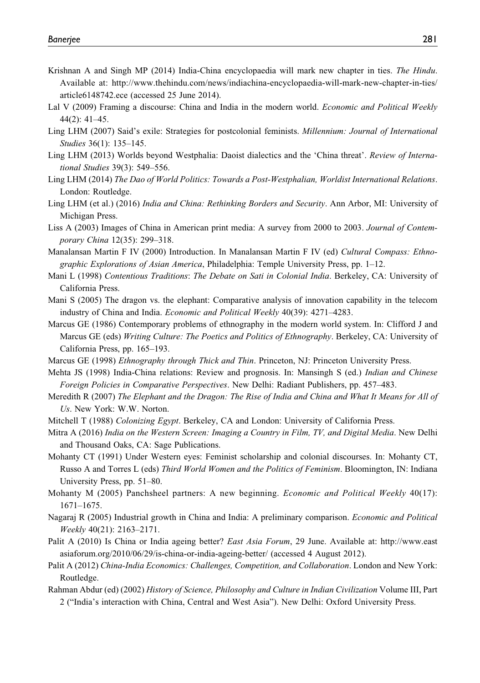- Krishnan A and Singh MP (2014) India-China encyclopaedia will mark new chapter in ties. The Hindu. Available at: [http://www.thehindu.com/news/indiachina-encyclopaedia-will-mark-new-chapter-in-ties/](http://www.thehindu.com/news/indiachina-encyclopaedia-will-mark-new-chapter-in-ties/article6148742.ece) [article6148742.ece](http://www.thehindu.com/news/indiachina-encyclopaedia-will-mark-new-chapter-in-ties/article6148742.ece) (accessed 25 June 2014).
- Lal V (2009) Framing a discourse: China and India in the modern world. *Economic and Political Weekly* 44(2): 41–45.
- Ling LHM (2007) Said's exile: Strategies for postcolonial feminists. *Millennium: Journal of International* Studies 36(1): 135–145.
- Ling LHM (2013) Worlds beyond Westphalia: Daoist dialectics and the 'China threat'. Review of International Studies 39(3): 549–556.
- Ling LHM (2014) The Dao of World Politics: Towards a Post-Westphalian, Worldist International Relations. London: Routledge.
- Ling LHM (et al.) (2016) India and China: Rethinking Borders and Security. Ann Arbor, MI: University of Michigan Press.
- Liss A (2003) Images of China in American print media: A survey from 2000 to 2003. Journal of Contemporary China 12(35): 299–318.
- Manalansan Martin F IV (2000) Introduction. In Manalansan Martin F IV (ed) Cultural Compass: Ethnographic Explorations of Asian America, Philadelphia: Temple University Press, pp. 1–12.
- Mani L (1998) Contentious Traditions: The Debate on Sati in Colonial India. Berkeley, CA: University of California Press.
- Mani S (2005) The dragon vs. the elephant: Comparative analysis of innovation capability in the telecom industry of China and India. Economic and Political Weekly 40(39): 4271–4283.
- Marcus GE (1986) Contemporary problems of ethnography in the modern world system. In: Clifford J and Marcus GE (eds) Writing Culture: The Poetics and Politics of Ethnography. Berkeley, CA: University of California Press, pp. 165–193.
- Marcus GE (1998) Ethnography through Thick and Thin. Princeton, NJ: Princeton University Press.
- Mehta JS (1998) India-China relations: Review and prognosis. In: Mansingh S (ed.) *Indian and Chinese* Foreign Policies in Comparative Perspectives. New Delhi: Radiant Publishers, pp. 457–483.
- Meredith R (2007) The Elephant and the Dragon: The Rise of India and China and What It Means for All of Us. New York: W.W. Norton.
- Mitchell T (1988) *Colonizing Egypt*. Berkeley, CA and London: University of California Press.
- Mitra A (2016) India on the Western Screen: Imaging a Country in Film, TV, and Digital Media. New Delhi and Thousand Oaks, CA: Sage Publications.
- Mohanty CT (1991) Under Western eyes: Feminist scholarship and colonial discourses. In: Mohanty CT, Russo A and Torres L (eds) Third World Women and the Politics of Feminism. Bloomington, IN: Indiana University Press, pp. 51–80.
- Mohanty M (2005) Panchsheel partners: A new beginning. *Economic and Political Weekly* 40(17): 1671–1675.
- Nagaraj R (2005) Industrial growth in China and India: A preliminary comparison. Economic and Political Weekly 40(21): 2163–2171.
- Palit A (2010) Is China or India ageing better? East Asia Forum, 29 June. Available at: [http://www.east](http://www.eastasiaforum.org/2010/06/29/is-china-or-india-ageing-better/) [asiaforum.org/2010/06/29/is-china-or-india-ageing-better/](http://www.eastasiaforum.org/2010/06/29/is-china-or-india-ageing-better/) (accessed 4 August 2012).
- Palit A (2012) China-India Economics: Challenges, Competition, and Collaboration. London and New York: Routledge.
- Rahman Abdur (ed) (2002) History of Science, Philosophy and Culture in Indian Civilization Volume III, Part 2 ("India's interaction with China, Central and West Asia"). New Delhi: Oxford University Press.